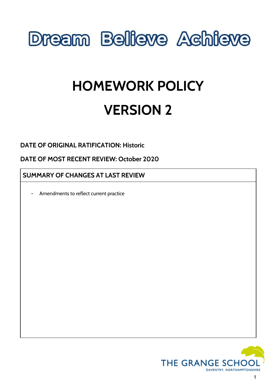# **Dream Believe Achieve**

# **HOMEWORK POLICY VERSION 2**

**DATE OF ORIGINAL RATIFICATION: Historic**

**DATE OF MOST RECENT REVIEW: October 2020**

## **SUMMARY OF CHANGES AT LAST REVIEW**

Amendments to reflect current practice

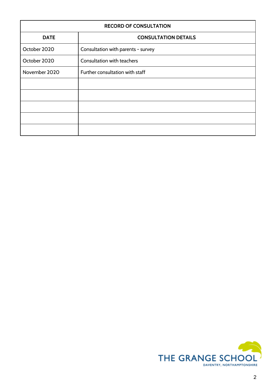| <b>RECORD OF CONSULTATION</b> |                                    |
|-------------------------------|------------------------------------|
| <b>DATE</b>                   | <b>CONSULTATION DETAILS</b>        |
| October 2020                  | Consultation with parents - survey |
| October 2020                  | Consultation with teachers         |
| November 2020                 | Further consultation with staff    |
|                               |                                    |
|                               |                                    |
|                               |                                    |
|                               |                                    |
|                               |                                    |

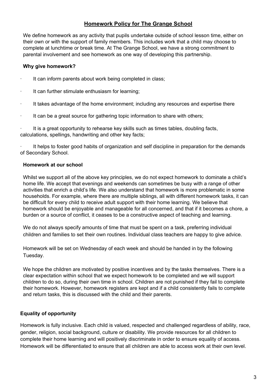## **Homework Policy for The Grange School**

We define homework as any activity that pupils undertake outside of school lesson time, either on their own or with the support of family members. This includes work that a child may choose to complete at lunchtime or break time. At The Grange School, we have a strong commitment to parental involvement and see homework as one way of developing this partnership.

#### **Why give homework?**

- It can inform parents about work being completed in class;
- · It can further stimulate enthusiasm for learning;
- · It takes advantage of the home environment; including any resources and expertise there
- It can be a great source for gathering topic information to share with others;

It is a great opportunity to rehearse key skills such as times tables, doubling facts, calculations, spellings, handwriting and other key facts;

It helps to foster good habits of organization and self discipline in preparation for the demands of Secondary School.

#### **Homework at our school**

Whilst we support all of the above key principles, we do not expect homework to dominate a child's home life. We accept that evenings and weekends can sometimes be busy with a range of other activities that enrich a child's life. We also understand that homework is more problematic in some households. For example, where there are multiple siblings, all with different homework tasks, it can be difficult for every child to receive adult support with their home learning. We believe that homework should be enjoyable and manageable for all concerned, and that if it becomes a chore, a burden or a source of conflict, it ceases to be a constructive aspect of teaching and learning.

We do not always specify amounts of time that must be spent on a task, preferring individual children and families to set their own routines. Individual class teachers are happy to give advice.

Homework will be set on Wednesday of each week and should be handed in by the following Tuesday.

We hope the children are motivated by positive incentives and by the tasks themselves. There is a clear expectation within school that we expect homework to be completed and we will support children to do so, during their own time in school. Children are not punished if they fail to complete their homework. However, homework registers are kept and if a child consistently fails to complete and return tasks, this is discussed with the child and their parents.

#### **Equality of opportunity**

Homework is fully inclusive. Each child is valued, respected and challenged regardless of ability, race, gender, religion, social background, culture or disability. We provide resources for all children to complete their home learning and will positively discriminate in order to ensure equality of access. Homework will be differentiated to ensure that all children are able to access work at their own level.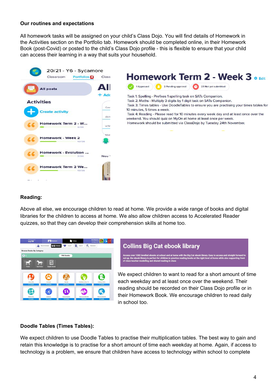#### **Our routines and expectations**

All homework tasks will be assigned on your child's Class Dojo. You will find details of Homework in the Activities section on the Portfolio tab. Homework should be completed online, in their Homework Book (post-Covid) or posted to the child's Class Dojo profile - this is flexible to ensure that your child can access their learning in a way that suits your household.



#### **Reading:**

Above all else, we encourage children to read at home. We provide a wide range of books and digital libraries for the children to access at home. We also allow children access to Accelerated Reader quizzes, so that they can develop their comprehension skills at home too.



## **Collins Big Cat ebook library**

ks at sch Cat ebook library. Easy to a<br>ເs at the right level at hom ebook library is perfect for children to pract<mark>i</mark><br>cher modelling and shared reading in class

We expect children to want to read for a short amount of time each weekday and at least once over the weekend. Their reading should be recorded on their Class Dojo profile or in their Homework Book. We encourage children to read daily in school too.

#### **Doodle Tables (Times Tables):**

We expect children to use Doodle Tables to practise their multiplication tables. The best way to gain and retain this knowledge is to practise for a short amount of time each weekday at home. Again, if access to technology is a problem, we ensure that children have access to technology within school to complete